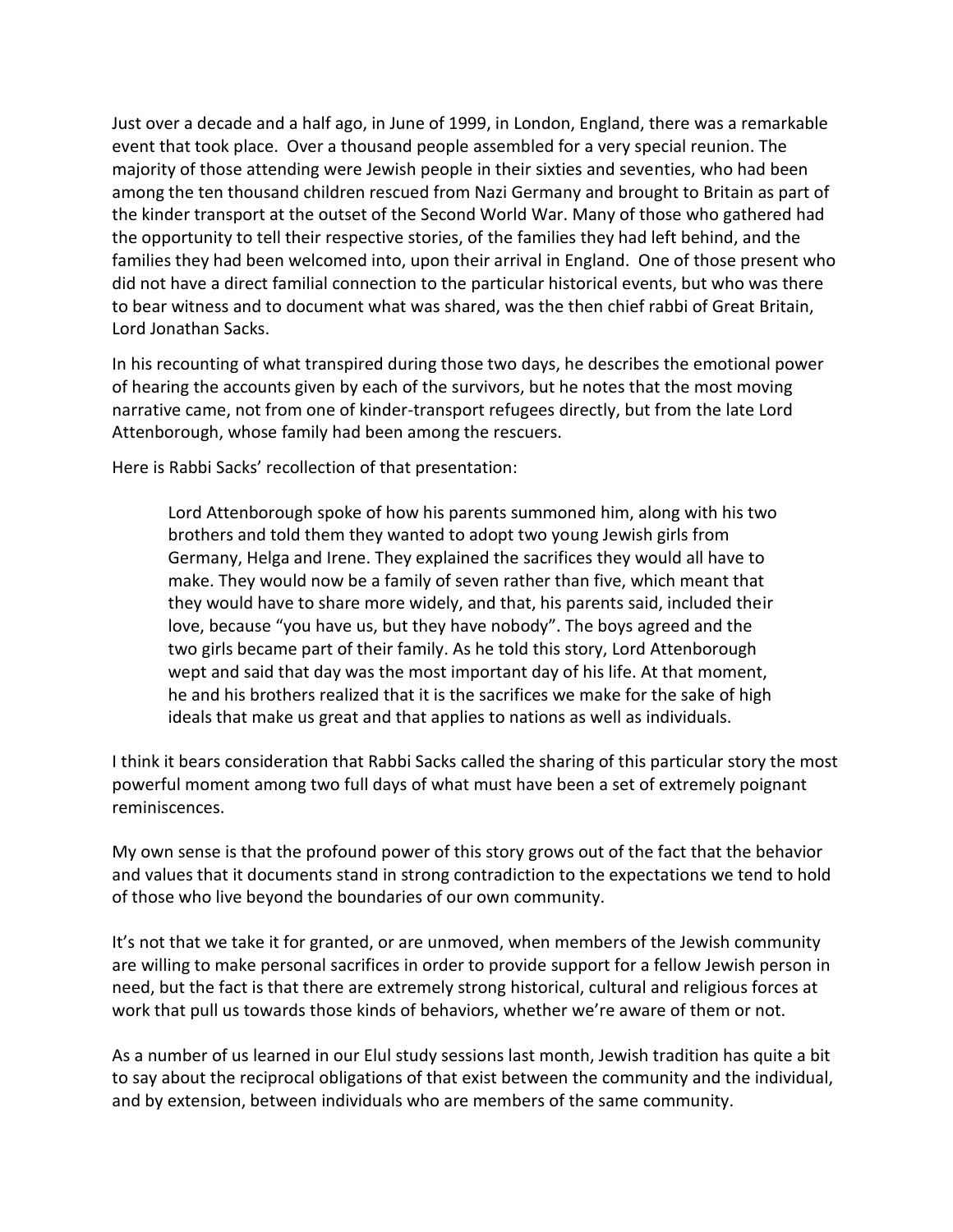Just over a decade and a half ago, in June of 1999, in London, England, there was a remarkable event that took place. Over a thousand people assembled for a very special reunion. The majority of those attending were Jewish people in their sixties and seventies, who had been among the ten thousand children rescued from Nazi Germany and brought to Britain as part of the kinder transport at the outset of the Second World War. Many of those who gathered had the opportunity to tell their respective stories, of the families they had left behind, and the families they had been welcomed into, upon their arrival in England. One of those present who did not have a direct familial connection to the particular historical events, but who was there to bear witness and to document what was shared, was the then chief rabbi of Great Britain, Lord Jonathan Sacks.

In his recounting of what transpired during those two days, he describes the emotional power of hearing the accounts given by each of the survivors, but he notes that the most moving narrative came, not from one of kinder-transport refugees directly, but from the late Lord Attenborough, whose family had been among the rescuers.

Here is Rabbi Sacks' recollection of that presentation:

Lord Attenborough spoke of how his parents summoned him, along with his two brothers and told them they wanted to adopt two young Jewish girls from Germany, Helga and Irene. They explained the sacrifices they would all have to make. They would now be a family of seven rather than five, which meant that they would have to share more widely, and that, his parents said, included their love, because "you have us, but they have nobody". The boys agreed and the two girls became part of their family. As he told this story, Lord Attenborough wept and said that day was the most important day of his life. At that moment, he and his brothers realized that it is the sacrifices we make for the sake of high ideals that make us great and that applies to nations as well as individuals.

I think it bears consideration that Rabbi Sacks called the sharing of this particular story the most powerful moment among two full days of what must have been a set of extremely poignant reminiscences.

My own sense is that the profound power of this story grows out of the fact that the behavior and values that it documents stand in strong contradiction to the expectations we tend to hold of those who live beyond the boundaries of our own community.

It's not that we take it for granted, or are unmoved, when members of the Jewish community are willing to make personal sacrifices in order to provide support for a fellow Jewish person in need, but the fact is that there are extremely strong historical, cultural and religious forces at work that pull us towards those kinds of behaviors, whether we're aware of them or not.

As a number of us learned in our Elul study sessions last month, Jewish tradition has quite a bit to say about the reciprocal obligations of that exist between the community and the individual, and by extension, between individuals who are members of the same community.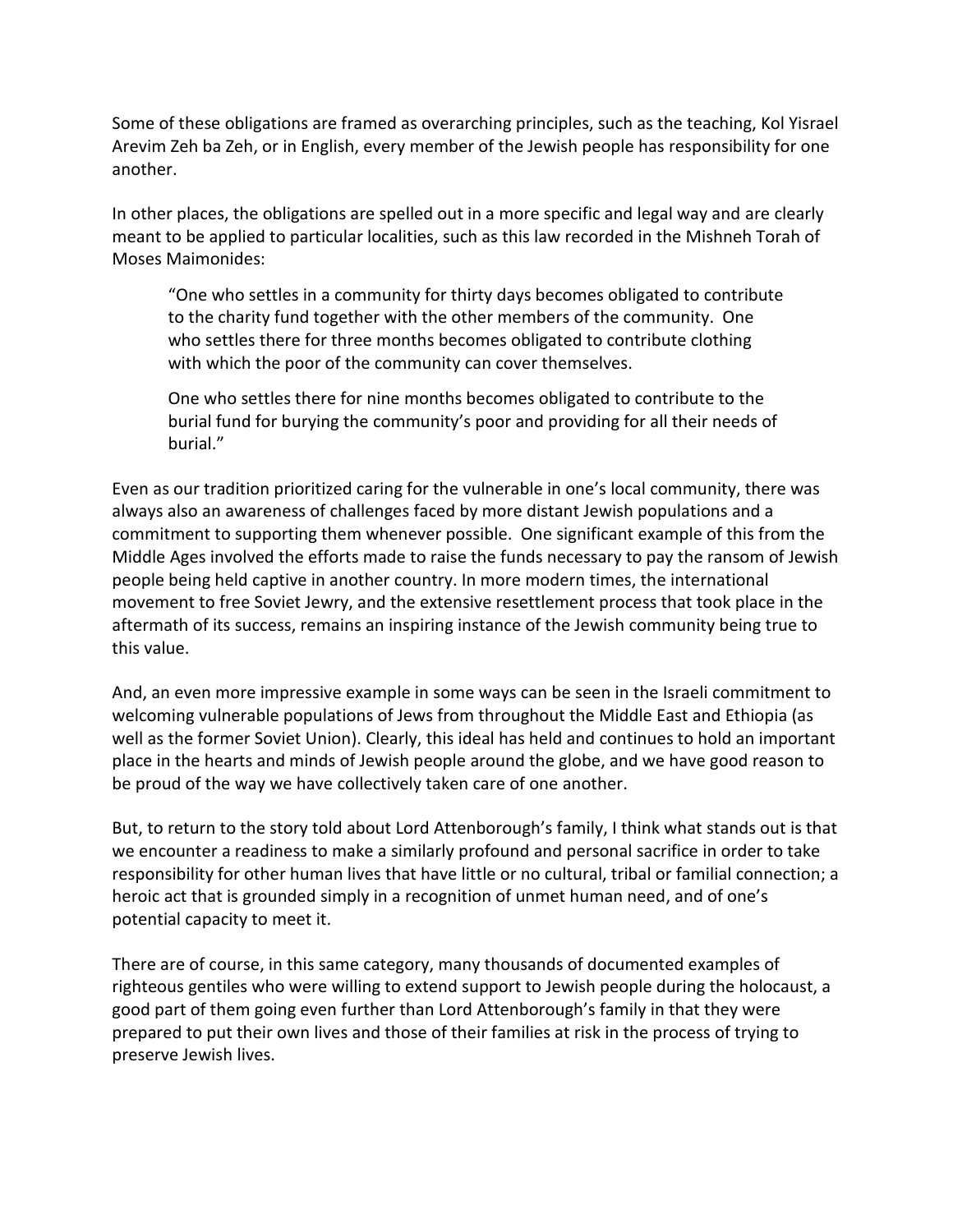Some of these obligations are framed as overarching principles, such as the teaching, Kol Yisrael Arevim Zeh ba Zeh, or in English, every member of the Jewish people has responsibility for one another.

In other places, the obligations are spelled out in a more specific and legal way and are clearly meant to be applied to particular localities, such as this law recorded in the Mishneh Torah of Moses Maimonides:

"One who settles in a community for thirty days becomes obligated to contribute to the charity fund together with the other members of the community. One who settles there for three months becomes obligated to contribute clothing with which the poor of the community can cover themselves.

One who settles there for nine months becomes obligated to contribute to the burial fund for burying the community's poor and providing for all their needs of burial."

Even as our tradition prioritized caring for the vulnerable in one's local community, there was always also an awareness of challenges faced by more distant Jewish populations and a commitment to supporting them whenever possible. One significant example of this from the Middle Ages involved the efforts made to raise the funds necessary to pay the ransom of Jewish people being held captive in another country. In more modern times, the international movement to free Soviet Jewry, and the extensive resettlement process that took place in the aftermath of its success, remains an inspiring instance of the Jewish community being true to this value.

And, an even more impressive example in some ways can be seen in the Israeli commitment to welcoming vulnerable populations of Jews from throughout the Middle East and Ethiopia (as well as the former Soviet Union). Clearly, this ideal has held and continues to hold an important place in the hearts and minds of Jewish people around the globe, and we have good reason to be proud of the way we have collectively taken care of one another.

But, to return to the story told about Lord Attenborough's family, I think what stands out is that we encounter a readiness to make a similarly profound and personal sacrifice in order to take responsibility for other human lives that have little or no cultural, tribal or familial connection; a heroic act that is grounded simply in a recognition of unmet human need, and of one's potential capacity to meet it.

There are of course, in this same category, many thousands of documented examples of righteous gentiles who were willing to extend support to Jewish people during the holocaust, a good part of them going even further than Lord Attenborough's family in that they were prepared to put their own lives and those of their families at risk in the process of trying to preserve Jewish lives.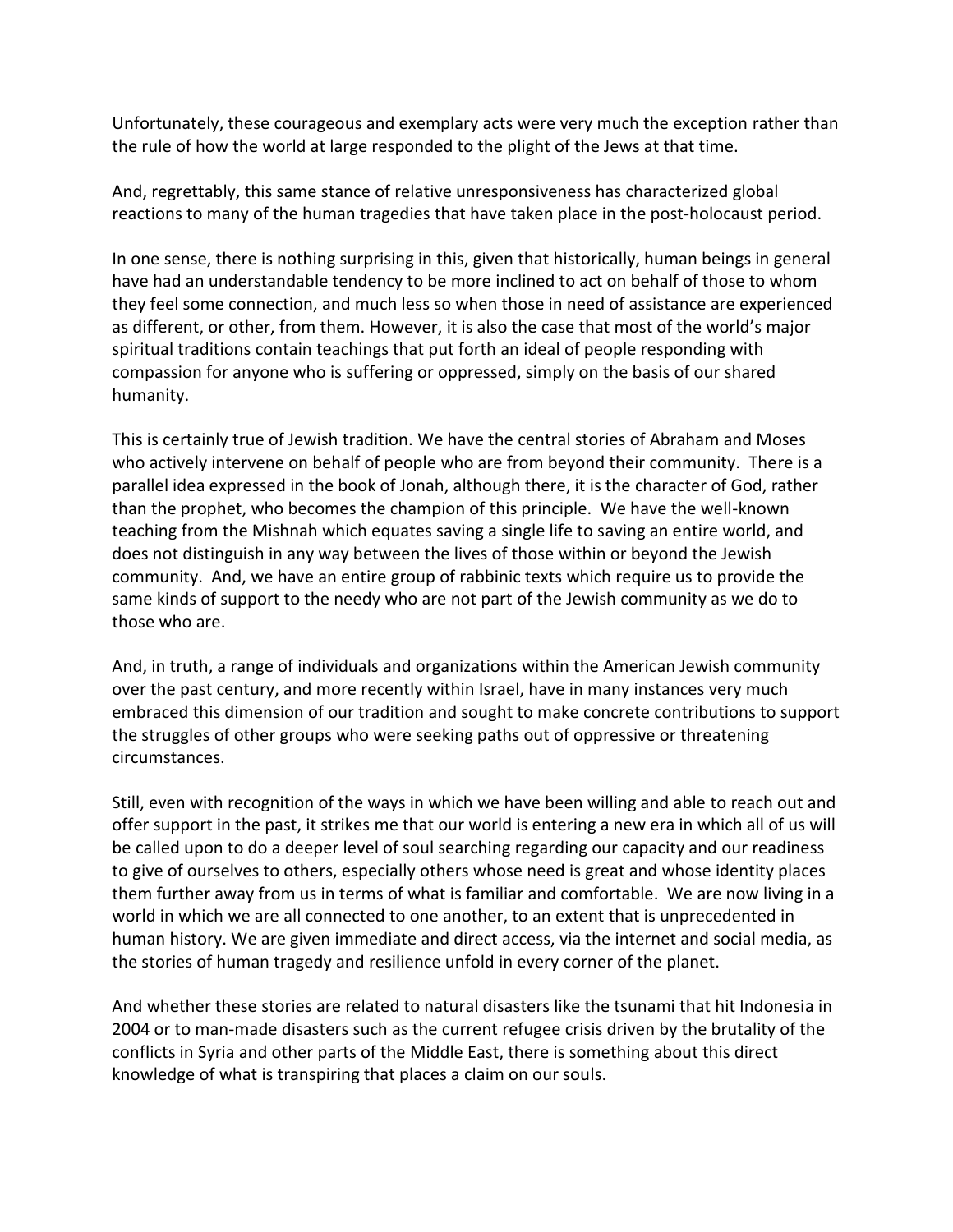Unfortunately, these courageous and exemplary acts were very much the exception rather than the rule of how the world at large responded to the plight of the Jews at that time.

And, regrettably, this same stance of relative unresponsiveness has characterized global reactions to many of the human tragedies that have taken place in the post-holocaust period.

In one sense, there is nothing surprising in this, given that historically, human beings in general have had an understandable tendency to be more inclined to act on behalf of those to whom they feel some connection, and much less so when those in need of assistance are experienced as different, or other, from them. However, it is also the case that most of the world's major spiritual traditions contain teachings that put forth an ideal of people responding with compassion for anyone who is suffering or oppressed, simply on the basis of our shared humanity.

This is certainly true of Jewish tradition. We have the central stories of Abraham and Moses who actively intervene on behalf of people who are from beyond their community. There is a parallel idea expressed in the book of Jonah, although there, it is the character of God, rather than the prophet, who becomes the champion of this principle. We have the well-known teaching from the Mishnah which equates saving a single life to saving an entire world, and does not distinguish in any way between the lives of those within or beyond the Jewish community. And, we have an entire group of rabbinic texts which require us to provide the same kinds of support to the needy who are not part of the Jewish community as we do to those who are.

And, in truth, a range of individuals and organizations within the American Jewish community over the past century, and more recently within Israel, have in many instances very much embraced this dimension of our tradition and sought to make concrete contributions to support the struggles of other groups who were seeking paths out of oppressive or threatening circumstances.

Still, even with recognition of the ways in which we have been willing and able to reach out and offer support in the past, it strikes me that our world is entering a new era in which all of us will be called upon to do a deeper level of soul searching regarding our capacity and our readiness to give of ourselves to others, especially others whose need is great and whose identity places them further away from us in terms of what is familiar and comfortable. We are now living in a world in which we are all connected to one another, to an extent that is unprecedented in human history. We are given immediate and direct access, via the internet and social media, as the stories of human tragedy and resilience unfold in every corner of the planet.

And whether these stories are related to natural disasters like the tsunami that hit Indonesia in 2004 or to man-made disasters such as the current refugee crisis driven by the brutality of the conflicts in Syria and other parts of the Middle East, there is something about this direct knowledge of what is transpiring that places a claim on our souls.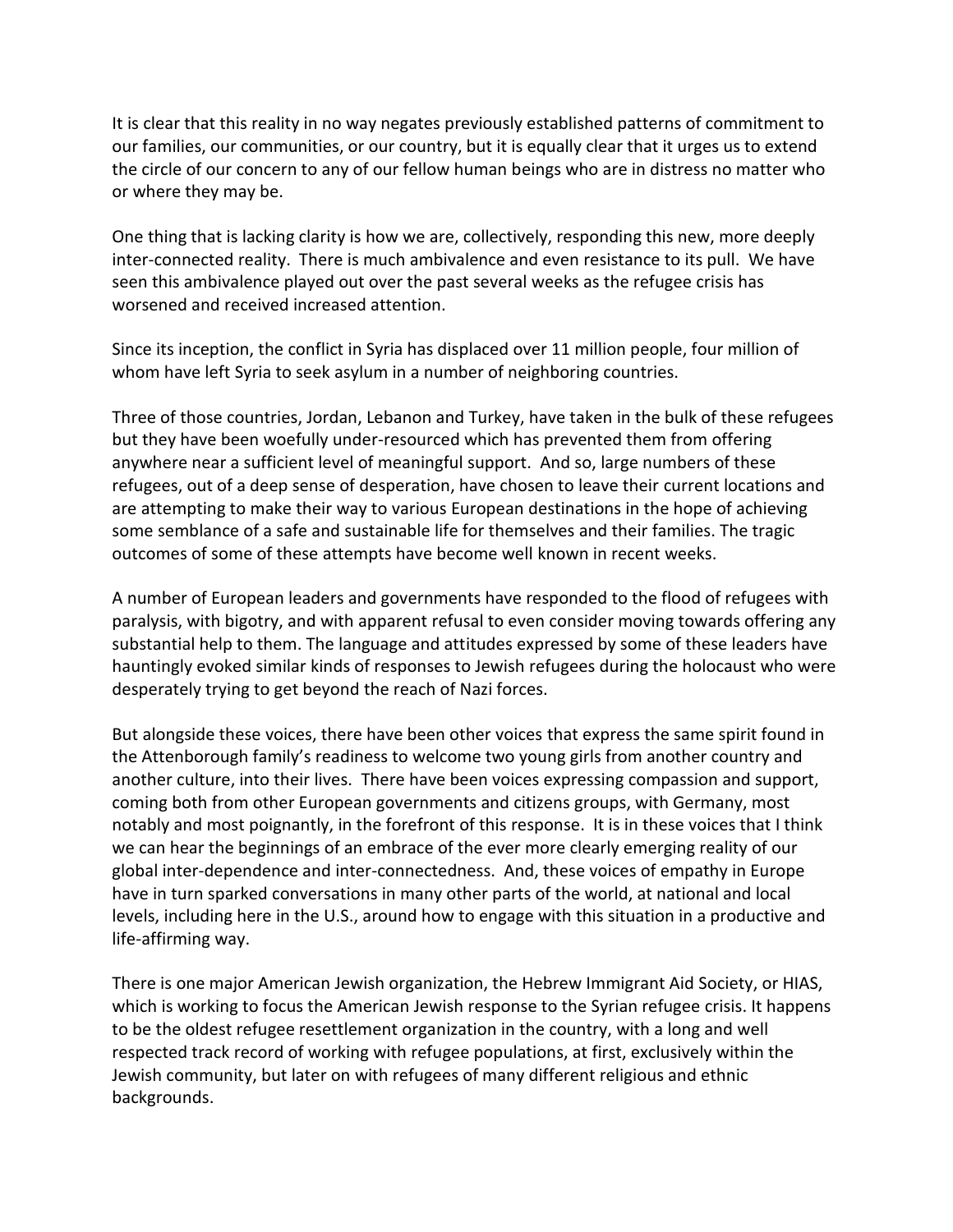It is clear that this reality in no way negates previously established patterns of commitment to our families, our communities, or our country, but it is equally clear that it urges us to extend the circle of our concern to any of our fellow human beings who are in distress no matter who or where they may be.

One thing that is lacking clarity is how we are, collectively, responding this new, more deeply inter-connected reality. There is much ambivalence and even resistance to its pull. We have seen this ambivalence played out over the past several weeks as the refugee crisis has worsened and received increased attention.

Since its inception, the conflict in Syria has displaced over 11 million people, four million of whom have left Syria to seek asylum in a number of neighboring countries.

Three of those countries, Jordan, Lebanon and Turkey, have taken in the bulk of these refugees but they have been woefully under-resourced which has prevented them from offering anywhere near a sufficient level of meaningful support. And so, large numbers of these refugees, out of a deep sense of desperation, have chosen to leave their current locations and are attempting to make their way to various European destinations in the hope of achieving some semblance of a safe and sustainable life for themselves and their families. The tragic outcomes of some of these attempts have become well known in recent weeks.

A number of European leaders and governments have responded to the flood of refugees with paralysis, with bigotry, and with apparent refusal to even consider moving towards offering any substantial help to them. The language and attitudes expressed by some of these leaders have hauntingly evoked similar kinds of responses to Jewish refugees during the holocaust who were desperately trying to get beyond the reach of Nazi forces.

But alongside these voices, there have been other voices that express the same spirit found in the Attenborough family's readiness to welcome two young girls from another country and another culture, into their lives. There have been voices expressing compassion and support, coming both from other European governments and citizens groups, with Germany, most notably and most poignantly, in the forefront of this response. It is in these voices that I think we can hear the beginnings of an embrace of the ever more clearly emerging reality of our global inter-dependence and inter-connectedness. And, these voices of empathy in Europe have in turn sparked conversations in many other parts of the world, at national and local levels, including here in the U.S., around how to engage with this situation in a productive and life-affirming way.

There is one major American Jewish organization, the Hebrew Immigrant Aid Society, or HIAS, which is working to focus the American Jewish response to the Syrian refugee crisis. It happens to be the oldest refugee resettlement organization in the country, with a long and well respected track record of working with refugee populations, at first, exclusively within the Jewish community, but later on with refugees of many different religious and ethnic backgrounds.